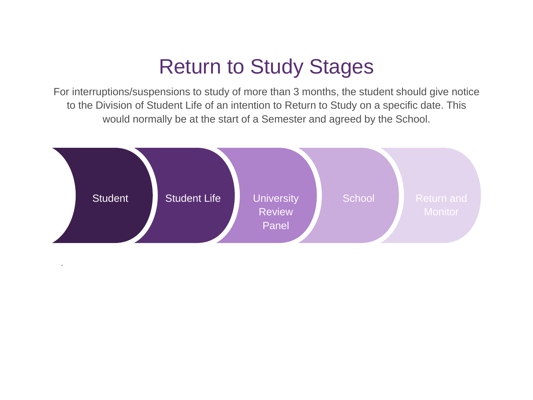## Return to Study Stages

For interruptions/suspensions to study of more than 3 months, the student should give notice to the Division of Student Life of an intention to Return to Study on a specific date. This would normally be at the start of a Semester and agreed by the School.



.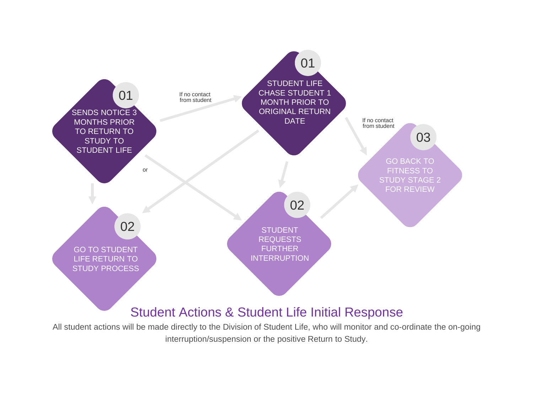

All student actions will be made directly to the Division of Student Life, who will monitor and co-ordinate the on-going interruption/suspension or the positive Return to Study.